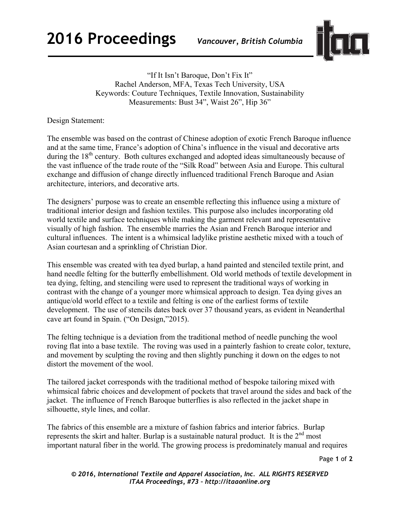

"If It Isn't Baroque, Don't Fix It" Rachel Anderson, MFA, Texas Tech University, USA Keywords: Couture Techniques, Textile Innovation, Sustainability Measurements: Bust 34", Waist 26", Hip 36"

Design Statement:

The ensemble was based on the contrast of Chinese adoption of exotic French Baroque influence and at the same time, France's adoption of China's influence in the visual and decorative arts during the 18<sup>th</sup> century. Both cultures exchanged and adopted ideas simultaneously because of the vast influence of the trade route of the "Silk Road" between Asia and Europe. This cultural exchange and diffusion of change directly influenced traditional French Baroque and Asian architecture, interiors, and decorative arts.

The designers' purpose was to create an ensemble reflecting this influence using a mixture of traditional interior design and fashion textiles. This purpose also includes incorporating old world textile and surface techniques while making the garment relevant and representative visually of high fashion. The ensemble marries the Asian and French Baroque interior and cultural influences. The intent is a whimsical ladylike pristine aesthetic mixed with a touch of Asian courtesan and a sprinkling of Christian Dior.

This ensemble was created with tea dyed burlap, a hand painted and stenciled textile print, and hand needle felting for the butterfly embellishment. Old world methods of textile development in tea dying, felting, and stenciling were used to represent the traditional ways of working in contrast with the change of a younger more whimsical approach to design. Tea dying gives an antique/old world effect to a textile and felting is one of the earliest forms of textile development. The use of stencils dates back over 37 thousand years, as evident in Neanderthal cave art found in Spain. ("On Design,"2015).

The felting technique is a deviation from the traditional method of needle punching the wool roving flat into a base textile. The roving was used in a painterly fashion to create color, texture, and movement by sculpting the roving and then slightly punching it down on the edges to not distort the movement of the wool.

The tailored jacket corresponds with the traditional method of bespoke tailoring mixed with whimsical fabric choices and development of pockets that travel around the sides and back of the jacket. The influence of French Baroque butterflies is also reflected in the jacket shape in silhouette, style lines, and collar.

The fabrics of this ensemble are a mixture of fashion fabrics and interior fabrics. Burlap represents the skirt and halter. Burlap is a sustainable natural product. It is the  $2<sup>nd</sup>$  most important natural fiber in the world. The growing process is predominately manual and requires

Page **1** of **2** 

*© 2016, International Textile and Apparel Association, Inc. ALL RIGHTS RESERVED ITAA Proceedings, #73 – http://itaaonline.org*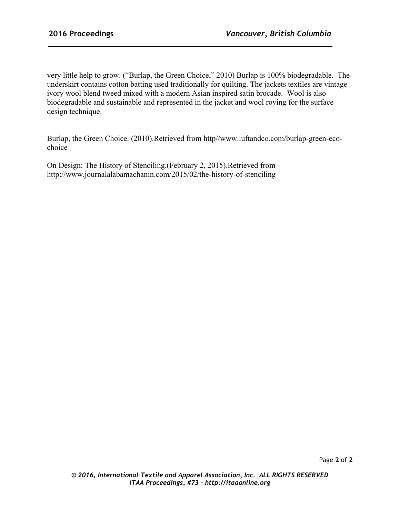very little help to grow. ("Burlap, the Green Choice," 2010) Burlap is 100% biodegradable. The underskirt contains cotton batting used traditionally for quilting. The jackets textiles are vintage ivory wool blend tweed mixed with a modern Asian inspired satin brocade. Wool is also biodegradable and sustainable and represented in the jacket and wool roving for the surface design technique.

Burlap, the Green Choice. (2010).Retrieved from http//www.luftandco.com/burlap-green-ecochoice

On Design: The History of Stenciling.(February 2, 2015).Retrieved from http://www.journalalabamachanin.com/2015/02/the-history-of-stenciling